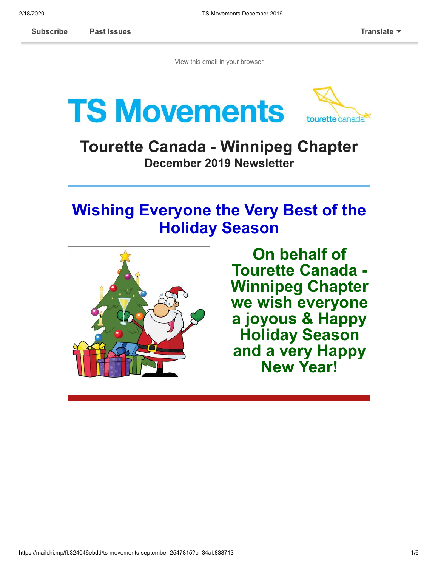[View this email in your browser](https://mailchi.mp/fb324046ebdd/ts-movements-september-2547815?e=34ab838713)





## **Tourette Canada - Winnipeg Chapter December 2019 Newsletter**

# **Wishing Everyone the Very Best of the Holiday Season**



**On behalf of Tourette Canada - Winnipeg Chapter we wish everyone a joyous & Happy Holiday Season and a very Happy New Year!**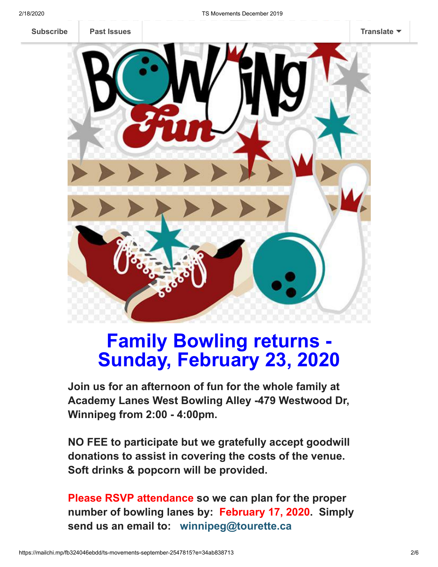

# **Family Bowling returns - Sunday, February 23, 2020**

**Join us for an afternoon of fun for the whole family at Academy Lanes West Bowling Alley -479 Westwood Dr, Winnipeg from 2:00 - 4:00pm.**

**NO FEE to participate but we gratefully accept goodwill donations to assist in covering the costs of the venue. Soft drinks & popcorn will be provided.**

**Please RSVP attendance so we can plan for the proper number of bowling lanes by: February 17, 2020. Simply send us an email to: winnipeg@tourette.ca**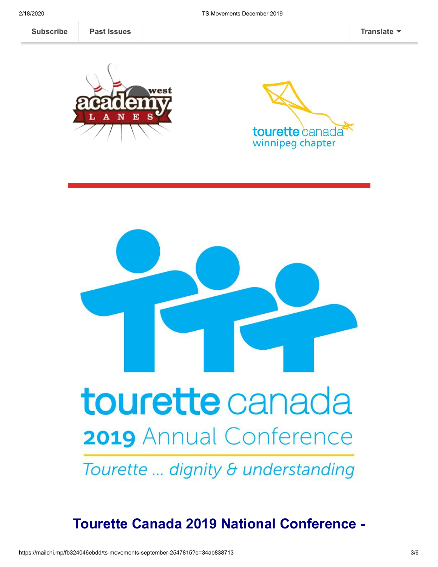**[Subscribe](http://eepurl.com/diDvq5) Past Issues EMAIL YOUR REPORTS (CLICK HERE) EXAMPLE TRANSLATE** 







**Tourette Canada 2019 National Conference -**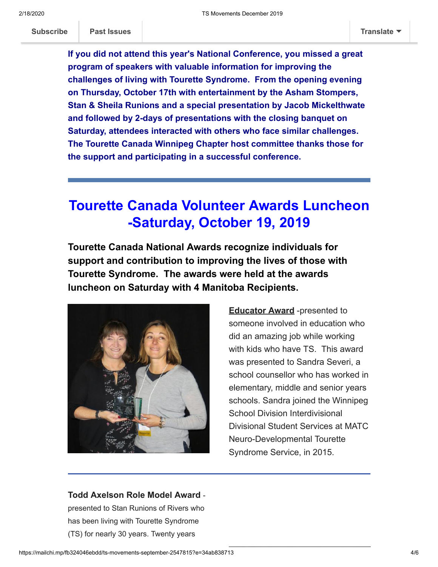**If you did not attend this year's National Conference, you missed a great program of speakers with valuable information for improving the challenges of living with Tourette Syndrome. From the opening evening on Thursday, October 17th with entertainment by the Asham Stompers, Stan & Sheila Runions and a special presentation by Jacob Mickelthwate and followed by 2-days of presentations with the closing banquet on Saturday, attendees interacted with others who face similar challenges. The Tourette Canada Winnipeg Chapter host committee thanks those for the support and participating in a successful conference.**

## **Tourette Canada Volunteer Awards Luncheon -Saturday, October 19, 2019**

**Tourette Canada National Awards recognize individuals for support and contribution to improving the lives of those with Tourette Syndrome. The awards were held at the awards luncheon on Saturday with 4 Manitoba Recipients.**



**Educator Award** -presented to someone involved in education who did an amazing job while working with kids who have TS. This award was presented to Sandra Severi, a school counsellor who has worked in elementary, middle and senior years schools. Sandra joined the Winnipeg School Division Interdivisional Divisional Student Services at MATC Neuro-Developmental Tourette Syndrome Service, in 2015.

### **Todd Axelson Role Model Award** -

presented to Stan Runions of Rivers who has been living with Tourette Syndrome (TS) for nearly 30 years. Twenty years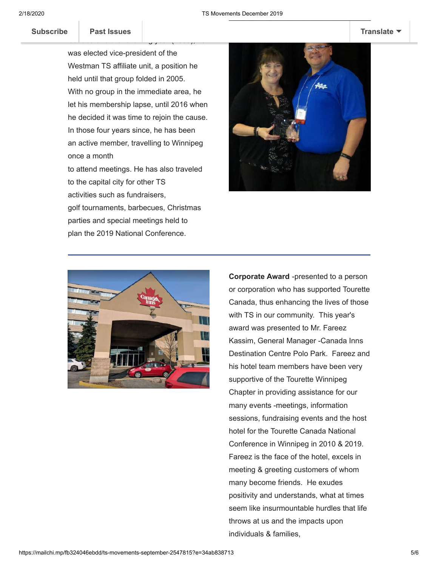Subscribe | Past Issues **[Subscribe](http://eepurl.com/diDvq5) Past Issues [Translate](javascript:;)**

was elected vice-president of the Westman TS affiliate unit, a position he held until that group folded in 2005. With no group in the immediate area, he let his membership lapse, until 2016 when he decided it was time to rejoin the cause. In those four years since, he has been an active member, travelling to Winnipeg once a month

Canada and the following year (2000), he

to attend meetings. He has also traveled to the capital city for other TS activities such as fundraisers,

golf tournaments, barbecues, Christmas parties and special meetings held to plan the 2019 National Conference.





**Corporate Award** -presented to a person or corporation who has supported Tourette Canada, thus enhancing the lives of those with TS in our community. This year's award was presented to Mr. Fareez Kassim, General Manager -Canada Inns Destination Centre Polo Park. Fareez and his hotel team members have been very supportive of the Tourette Winnipeg Chapter in providing assistance for our many events -meetings, information sessions, fundraising events and the host hotel for the Tourette Canada National Conference in Winnipeg in 2010 & 2019. Fareez is the face of the hotel, excels in meeting & greeting customers of whom many become friends. He exudes positivity and understands, what at times seem like insurmountable hurdles that life throws at us and the impacts upon individuals & families,